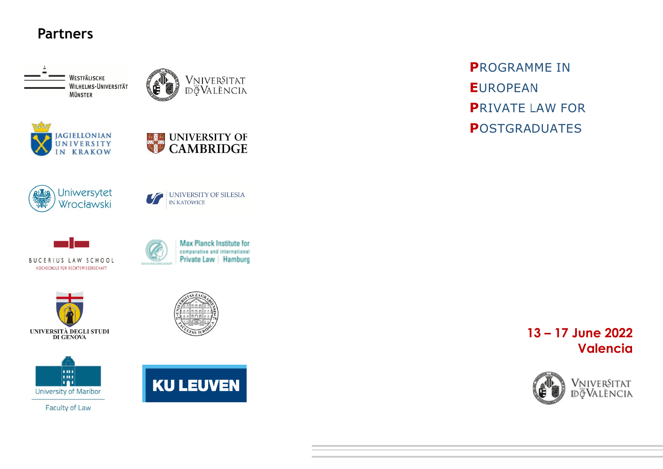

WESTFÄLISCHE WILHELMS-UNIVERSITÄT **MÜNSTER** 







**IN KATOWICE** 









Faculty of Law





**PROGRAMME IN EUROPEAN PRIVATE LAW FOR POSTGRADUATES** 

## 13-17 June 2022 **Valencia**





Max Planck Institute for comparative and international Private Law | Hamburg

UNIVERSITY OF SILESIA